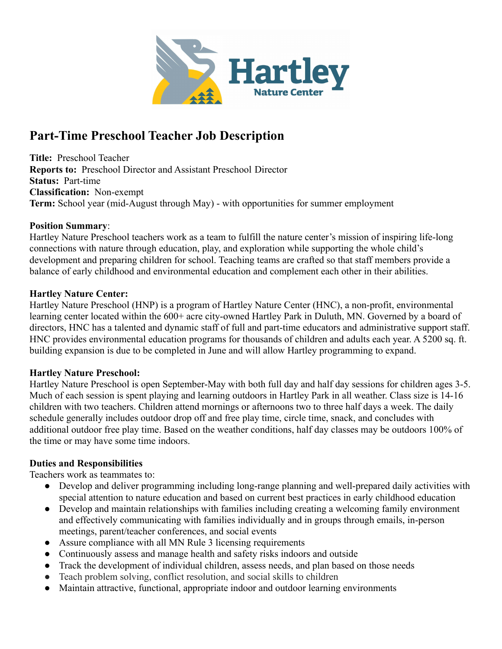

# **Part-Time Preschool Teacher Job Description**

**Title:** Preschool Teacher **Reports to:** Preschool Director and Assistant Preschool Director **Status:** Part-time **Classification:** Non-exempt **Term:** School year (mid-August through May) - with opportunities for summer employment

#### **Position Summary**:

Hartley Nature Preschool teachers work as a team to fulfill the nature center's mission of inspiring life-long connections with nature through education, play, and exploration while supporting the whole child's development and preparing children for school. Teaching teams are crafted so that staff members provide a balance of early childhood and environmental education and complement each other in their abilities.

#### **Hartley Nature Center:**

Hartley Nature Preschool (HNP) is a program of Hartley Nature Center (HNC), a non-profit, environmental learning center located within the 600+ acre city-owned Hartley Park in Duluth, MN. Governed by a board of directors, HNC has a talented and dynamic staff of full and part-time educators and administrative support staff. HNC provides environmental education programs for thousands of children and adults each year. A 5200 sq. ft. building expansion is due to be completed in June and will allow Hartley programming to expand.

### **Hartley Nature Preschool:**

Hartley Nature Preschool is open September-May with both full day and half day sessions for children ages 3-5. Much of each session is spent playing and learning outdoors in Hartley Park in all weather. Class size is 14-16 children with two teachers. Children attend mornings or afternoons two to three half days a week. The daily schedule generally includes outdoor drop off and free play time, circle time, snack, and concludes with additional outdoor free play time. Based on the weather conditions, half day classes may be outdoors 100% of the time or may have some time indoors.

### **Duties and Responsibilities**

Teachers work as teammates to:

- Develop and deliver programming including long-range planning and well-prepared daily activities with special attention to nature education and based on current best practices in early childhood education
- Develop and maintain relationships with families including creating a welcoming family environment and effectively communicating with families individually and in groups through emails, in-person meetings, parent/teacher conferences, and social events
- Assure compliance with all MN Rule 3 licensing requirements
- Continuously assess and manage health and safety risks indoors and outside
- Track the development of individual children, assess needs, and plan based on those needs
- Teach problem solving, conflict resolution, and social skills to children
- Maintain attractive, functional, appropriate indoor and outdoor learning environments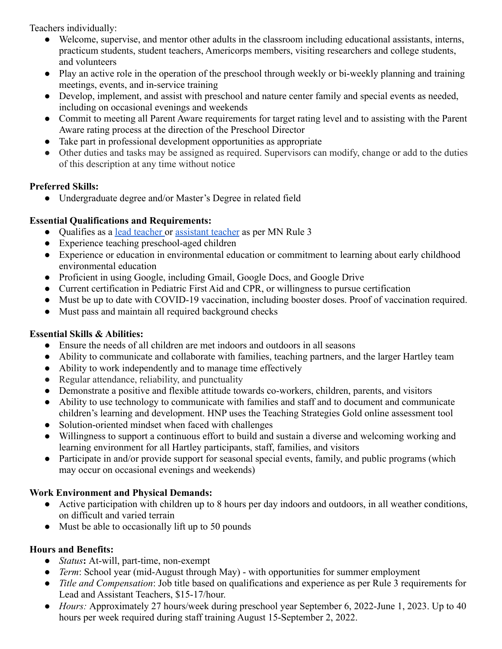Teachers individually:

- Welcome, supervise, and mentor other adults in the classroom including educational assistants, interns, practicum students, student teachers, Americorps members, visiting researchers and college students, and volunteers
- Play an active role in the operation of the preschool through weekly or bi-weekly planning and training meetings, events, and in-service training
- Develop, implement, and assist with preschool and nature center family and special events as needed, including on occasional evenings and weekends
- Commit to meeting all Parent Aware requirements for target rating level and to assisting with the Parent Aware rating process at the direction of the Preschool Director
- Take part in professional development opportunities as appropriate
- Other duties and tasks may be assigned as required. Supervisors can modify, change or add to the duties of this description at any time without notice

# **Preferred Skills:**

● Undergraduate degree and/or Master's Degree in related field

# **Essential Qualifications and Requirements:**

- Qualifies as a [lead teacher](https://www.revisor.mn.gov/rules/9503.0032/) or [assistant teacher](https://www.revisor.mn.gov/rules/9503.0033/) as per MN Rule 3
- Experience teaching preschool-aged children
- Experience or education in environmental education or commitment to learning about early childhood environmental education
- Proficient in using Google, including Gmail, Google Docs, and Google Drive
- Current certification in Pediatric First Aid and CPR, or willingness to pursue certification
- Must be up to date with COVID-19 vaccination, including booster doses. Proof of vaccination required.
- Must pass and maintain all required background checks

### **Essential Skills & Abilities:**

- Ensure the needs of all children are met indoors and outdoors in all seasons
- Ability to communicate and collaborate with families, teaching partners, and the larger Hartley team
- Ability to work independently and to manage time effectively
- Regular attendance, reliability, and punctuality
- Demonstrate a positive and flexible attitude towards co-workers, children, parents, and visitors
- Ability to use technology to communicate with families and staff and to document and communicate children's learning and development. HNP uses the Teaching Strategies Gold online assessment tool
- Solution-oriented mindset when faced with challenges
- Willingness to support a continuous effort to build and sustain a diverse and welcoming working and learning environment for all Hartley participants, staff, families, and visitors
- Participate in and/or provide support for seasonal special events, family, and public programs (which may occur on occasional evenings and weekends)

# **Work Environment and Physical Demands:**

- Active participation with children up to 8 hours per day indoors and outdoors, in all weather conditions, on difficult and varied terrain
- Must be able to occasionally lift up to 50 pounds

# **Hours and Benefits:**

- *Status***:** At-will, part-time, non-exempt
- *Term*: School year (mid-August through May) with opportunities for summer employment
- *Title and Compensation*: Job title based on qualifications and experience as per Rule 3 requirements for Lead and Assistant Teachers, \$15-17/hour.
- *Hours:* Approximately 27 hours/week during preschool year September 6, 2022-June 1, 2023. Up to 40 hours per week required during staff training August 15-September 2, 2022.